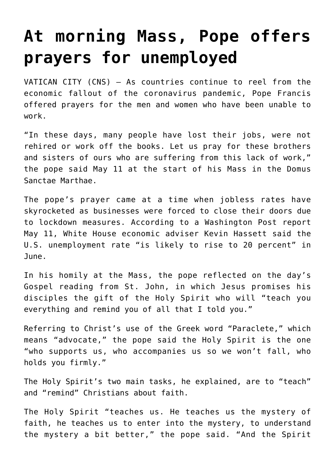## **[At morning Mass, Pope offers](https://www.osvnews.com/2020/05/11/at-morning-mass-pope-offers-prayers-for-unemployed/) [prayers for unemployed](https://www.osvnews.com/2020/05/11/at-morning-mass-pope-offers-prayers-for-unemployed/)**

VATICAN CITY (CNS) — As countries continue to reel from the economic fallout of the coronavirus pandemic, Pope Francis offered prayers for the men and women who have been unable to work.

"In these days, many people have lost their jobs, were not rehired or work off the books. Let us pray for these brothers and sisters of ours who are suffering from this lack of work," the pope said May 11 at the start of his Mass in the Domus Sanctae Marthae.

The pope's prayer came at a time when jobless rates have skyrocketed as businesses were forced to close their doors due to lockdown measures. According to a Washington Post report May 11, White House economic adviser Kevin Hassett said the U.S. unemployment rate "is likely to rise to 20 percent" in June.

In his homily at the Mass, the pope reflected on the day's Gospel reading from St. John, in which Jesus promises his disciples the gift of the Holy Spirit who will "teach you everything and remind you of all that I told you."

Referring to Christ's use of the Greek word "Paraclete," which means "advocate," the pope said the Holy Spirit is the one "who supports us, who accompanies us so we won't fall, who holds you firmly."

The Holy Spirit's two main tasks, he explained, are to "teach" and "remind" Christians about faith.

The Holy Spirit "teaches us. He teaches us the mystery of faith, he teaches us to enter into the mystery, to understand the mystery a bit better," the pope said. "And the Spirit